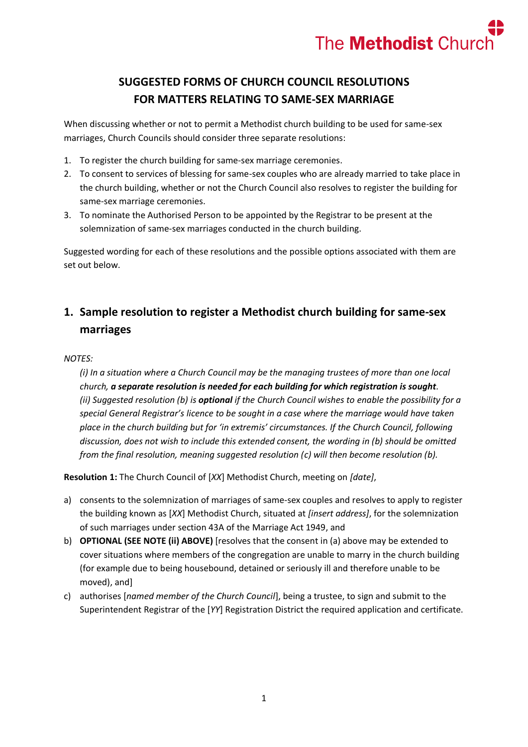

# **SUGGESTED FORMS OF CHURCH COUNCIL RESOLUTIONS FOR MATTERS RELATING TO SAME-SEX MARRIAGE**

When discussing whether or not to permit a Methodist church building to be used for same-sex marriages, Church Councils should consider three separate resolutions:

- 1. To register the church building for same-sex marriage ceremonies.
- 2. To consent to services of blessing for same-sex couples who are already married to take place in the church building, whether or not the Church Council also resolves to register the building for same-sex marriage ceremonies.
- 3. To nominate the Authorised Person to be appointed by the Registrar to be present at the solemnization of same-sex marriages conducted in the church building.

Suggested wording for each of these resolutions and the possible options associated with them are set out below.

### **1. Sample resolution to register a Methodist church building for same-sex marriages**

#### *NOTES:*

*(i) In a situation where a Church Council may be the managing trustees of more than one local church, a separate resolution is needed for each building for which registration is sought. (ii) Suggested resolution (b) is optional if the Church Council wishes to enable the possibility for a special General Registrar's licence to be sought in a case where the marriage would have taken place in the church building but for 'in extremis' circumstances. If the Church Council, following discussion, does not wish to include this extended consent, the wording in (b) should be omitted from the final resolution, meaning suggested resolution (c) will then become resolution (b).*

**Resolution 1:** The Church Council of [*XX*] Methodist Church, meeting on *[date]*,

- a) consents to the solemnization of marriages of same-sex couples and resolves to apply to register the building known as [*XX*] Methodist Church, situated at *[insert address]*, for the solemnization of such marriages under section 43A of the Marriage Act 1949, and
- b) **OPTIONAL (SEE NOTE (ii) ABOVE)** [resolves that the consent in (a) above may be extended to cover situations where members of the congregation are unable to marry in the church building (for example due to being housebound, detained or seriously ill and therefore unable to be moved), and]
- c) authorises [*named member of the Church Council*], being a trustee, to sign and submit to the Superintendent Registrar of the [*YY*] Registration District the required application and certificate.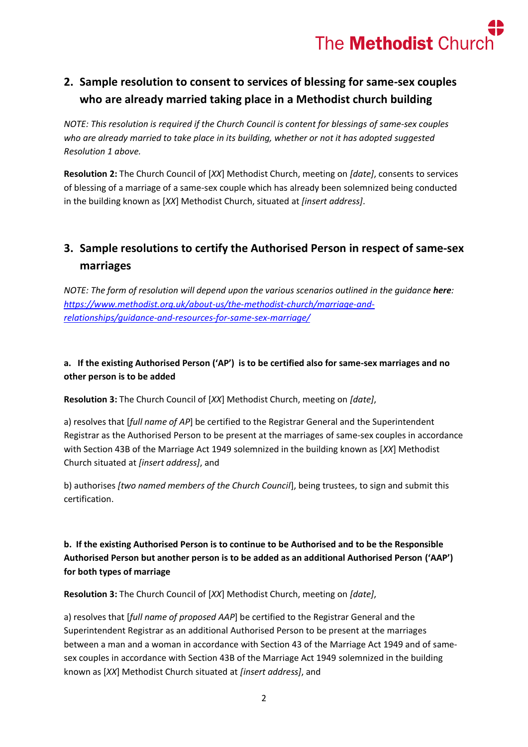

# **2. Sample resolution to consent to services of blessing for same-sex couples who are already married taking place in a Methodist church building**

*NOTE: This resolution is required if the Church Council is content for blessings of same-sex couples who are already married to take place in its building, whether or not it has adopted suggested Resolution 1 above.* 

**Resolution 2:** The Church Council of [*XX*] Methodist Church, meeting on *[date]*, consents to services of blessing of a marriage of a same-sex couple which has already been solemnized being conducted in the building known as [*XX*] Methodist Church, situated at *[insert address]*.

## **3. Sample resolutions to certify the Authorised Person in respect of same-sex marriages**

*NOTE: The form of resolution will depend upon the various scenarios outlined in the quidance here: [https://www.methodist.org.uk/about-us/the-methodist-church/marriage-and](https://www.methodist.org.uk/about-us/the-methodist-church/marriage-and-relationships/guidance-and-resources-for-same-sex-marriage/)[relationships/guidance-and-resources-for-same-sex-marriage/](https://www.methodist.org.uk/about-us/the-methodist-church/marriage-and-relationships/guidance-and-resources-for-same-sex-marriage/)*

#### **a. If the existing Authorised Person ('AP') is to be certified also for same-sex marriages and no other person is to be added**

**Resolution 3:** The Church Council of [*XX*] Methodist Church, meeting on *[date]*,

a) resolves that [*full name of AP*] be certified to the Registrar General and the Superintendent Registrar as the Authorised Person to be present at the marriages of same-sex couples in accordance with Section 43B of the Marriage Act 1949 solemnized in the building known as [*XX*] Methodist Church situated at *[insert address]*, and

b) authorises *[two named members of the Church Council*], being trustees, to sign and submit this certification.

### **b. If the existing Authorised Person is to continue to be Authorised and to be the Responsible Authorised Person but another person is to be added as an additional Authorised Person ('AAP') for both types of marriage**

**Resolution 3:** The Church Council of [*XX*] Methodist Church, meeting on *[date]*,

a) resolves that [*full name of proposed AAP*] be certified to the Registrar General and the Superintendent Registrar as an additional Authorised Person to be present at the marriages between a man and a woman in accordance with Section 43 of the Marriage Act 1949 and of samesex couples in accordance with Section 43B of the Marriage Act 1949 solemnized in the building known as [*XX*] Methodist Church situated at *[insert address]*, and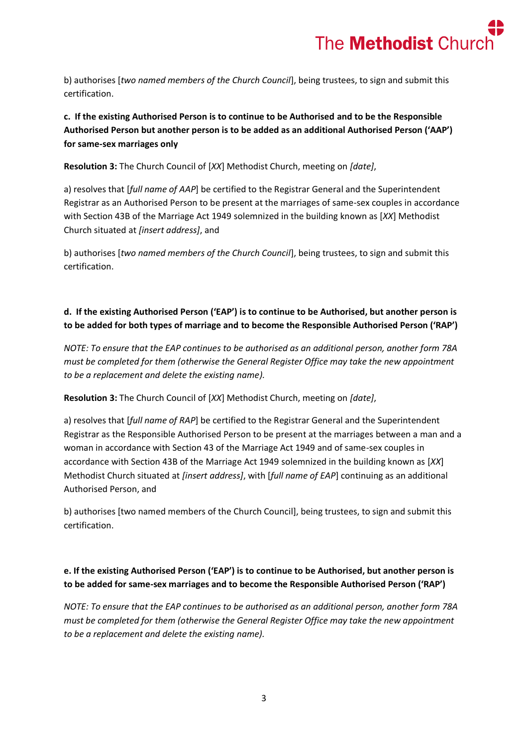

b) authorises [*two named members of the Church Council*], being trustees, to sign and submit this certification.

**c. If the existing Authorised Person is to continue to be Authorised and to be the Responsible Authorised Person but another person is to be added as an additional Authorised Person ('AAP') for same-sex marriages only**

**Resolution 3:** The Church Council of [*XX*] Methodist Church, meeting on *[date]*,

a) resolves that [*full name of AAP*] be certified to the Registrar General and the Superintendent Registrar as an Authorised Person to be present at the marriages of same-sex couples in accordance with Section 43B of the Marriage Act 1949 solemnized in the building known as [*XX*] Methodist Church situated at *[insert address]*, and

b) authorises [*two named members of the Church Council*], being trustees, to sign and submit this certification.

### **d. If the existing Authorised Person ('EAP') is to continue to be Authorised, but another person is to be added for both types of marriage and to become the Responsible Authorised Person ('RAP')**

*NOTE: To ensure that the EAP continues to be authorised as an additional person, another form 78A must be completed for them (otherwise the General Register Office may take the new appointment to be a replacement and delete the existing name).* 

**Resolution 3:** The Church Council of [*XX*] Methodist Church, meeting on *[date]*,

a) resolves that [*full name of RAP*] be certified to the Registrar General and the Superintendent Registrar as the Responsible Authorised Person to be present at the marriages between a man and a woman in accordance with Section 43 of the Marriage Act 1949 and of same-sex couples in accordance with Section 43B of the Marriage Act 1949 solemnized in the building known as [*XX*] Methodist Church situated at *[insert address]*, with [*full name of EAP*] continuing as an additional Authorised Person, and

b) authorises [two named members of the Church Council], being trustees, to sign and submit this certification.

#### **e. If the existing Authorised Person ('EAP') is to continue to be Authorised, but another person is to be added for same-sex marriages and to become the Responsible Authorised Person ('RAP')**

*NOTE: To ensure that the EAP continues to be authorised as an additional person, another form 78A must be completed for them (otherwise the General Register Office may take the new appointment to be a replacement and delete the existing name).*